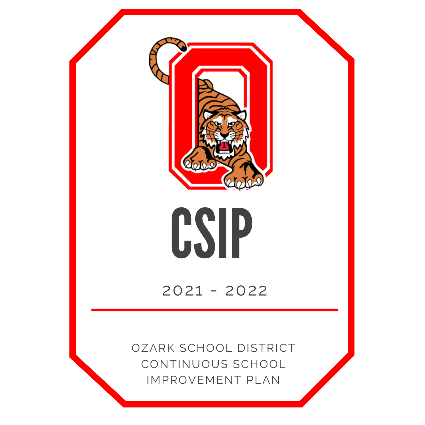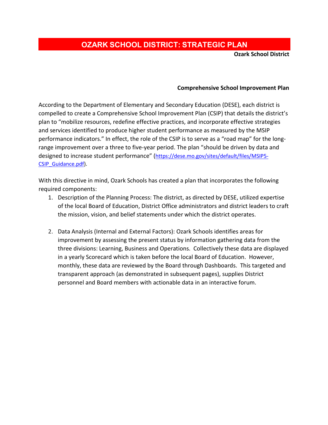## **OZARK SCHOOL DISTRICT: STRATEGIC PLAN**

**Ozark School District**

## **Comprehensive School Improvement Plan**

According to the Department of Elementary and Secondary Education (DESE), each district is compelled to create a Comprehensive School Improvement Plan (CSIP) that details the district's plan to "mobilize resources, redefine effective practices, and incorporate effective strategies and services identified to produce higher student performance as measured by the MSIP performance indicators." In effect, the role of the CSIP is to serve as a "road map" for the longrange improvement over a three to five-year period. The plan "should be driven by data and designed to increase student performance" [\(https://dese.mo.gov/sites/default/files/MSIP5-](https://dese.mo.gov/sites/default/files/MSIP5-CSIP_Guidance.pdf) [CSIP\\_Guidance.pdf\)](https://dese.mo.gov/sites/default/files/MSIP5-CSIP_Guidance.pdf).

With this directive in mind, Ozark Schools has created a plan that incorporates the following required components:

- 1. Description of the Planning Process: The district, as directed by DESE, utilized expertise of the local Board of Education, District Office administrators and district leaders to craft the mission, vision, and belief statements under which the district operates.
- 2. Data Analysis (Internal and External Factors): Ozark Schools identifies areas for improvement by assessing the present status by information gathering data from the three divisions: Learning, Business and Operations. Collectively these data are displayed in a yearly Scorecard which is taken before the local Board of Education. However, monthly, these data are reviewed by the Board through Dashboards. This targeted and transparent approach (as demonstrated in subsequent pages), supplies District personnel and Board members with actionable data in an interactive forum.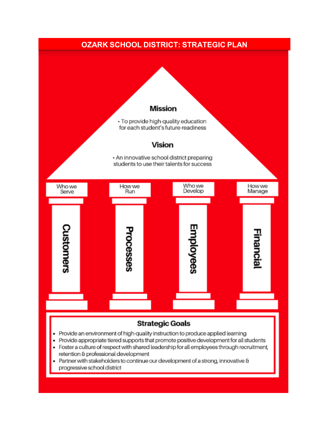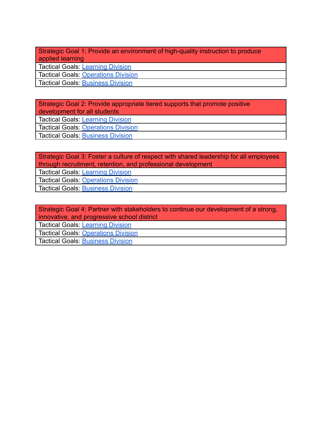Strategic Goal 1: Provide an environment of high-quality instruction to produce applied learning

Tactical Goals: [Learning Division](https://docs.google.com/document/d/1kuim1-n6Yl944KWHUAA4DJa-7OyxRofk/edit)

Tactical Goals: [Operations Division](https://docs.google.com/document/d/0B13XkM7-FokHQV9oZDUySGJZWVdEM3ZjZmxaZkdxcUlmYl9N/edit)

Tactical Goals: [Business Division](https://docs.google.com/document/d/0B13XkM7-FokHSGt1TTZmWEtaZVhNR21xOTdrc3NRMzhscnRV/edit)

Strategic Goal 2: Provide appropriate tiered supports that promote positive development for all students Tactical Goals: [Learning Division](https://docs.google.com/document/d/1kuim1-n6Yl944KWHUAA4DJa-7OyxRofk/edit) Tactical Goals: [Operations Division](https://docs.google.com/document/d/0B13XkM7-FokHQV9oZDUySGJZWVdEM3ZjZmxaZkdxcUlmYl9N/edit)

Tactical Goals: [Business Division](https://docs.google.com/document/d/0B13XkM7-FokHSGt1TTZmWEtaZVhNR21xOTdrc3NRMzhscnRV/edit)

Strategic Goal 3: Foster a culture of respect with shared leadership for all employees through recruitment, retention, and professional development

Tactical Goals: [Learning Division](https://docs.google.com/document/d/1kuim1-n6Yl944KWHUAA4DJa-7OyxRofk/edit)

Tactical Goals: [Operations Division](https://docs.google.com/document/d/0B13XkM7-FokHQV9oZDUySGJZWVdEM3ZjZmxaZkdxcUlmYl9N/edit)

**Tactical Goals: [Business Division](https://docs.google.com/document/d/0B13XkM7-FokHSGt1TTZmWEtaZVhNR21xOTdrc3NRMzhscnRV/edit)** 

Strategic Goal 4: Partner with stakeholders to continue our development of a strong, innovative, and progressive school district

Tactical Goals: [Learning Division](https://docs.google.com/document/d/1kuim1-n6Yl944KWHUAA4DJa-7OyxRofk/edit)

Tactical Goals: [Operations Division](https://docs.google.com/document/d/0B13XkM7-FokHQV9oZDUySGJZWVdEM3ZjZmxaZkdxcUlmYl9N/edit)

Tactical Goals: [Business Division](https://docs.google.com/document/d/0B13XkM7-FokHSGt1TTZmWEtaZVhNR21xOTdrc3NRMzhscnRV/edit)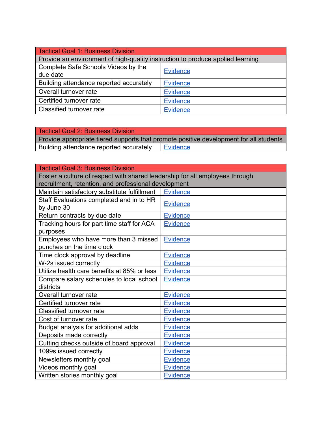| Tactical Goal 1: Business Division                                             |                 |
|--------------------------------------------------------------------------------|-----------------|
| Provide an environment of high-quality instruction to produce applied learning |                 |
| Complete Safe Schools Videos by the                                            | <b>Evidence</b> |
| due date                                                                       |                 |
| Building attendance reported accurately                                        | <b>Evidence</b> |
| Overall turnover rate                                                          | <b>Evidence</b> |
| Certified turnover rate                                                        | <b>Evidence</b> |
| Classified turnover rate                                                       | <b>Evidence</b> |

| <b>Tactical Goal 2: Business Division</b>                                              |                 |  |
|----------------------------------------------------------------------------------------|-----------------|--|
| Provide appropriate tiered supports that promote positive development for all students |                 |  |
| Building attendance reported accurately                                                | <b>Evidence</b> |  |

| <b>Tactical Goal 3: Business Division</b>                                    |                 |
|------------------------------------------------------------------------------|-----------------|
| Foster a culture of respect with shared leadership for all employees through |                 |
| recruitment, retention, and professional development                         |                 |
| Maintain satisfactory substitute fulfillment                                 | <b>Evidence</b> |
| Staff Evaluations completed and in to HR                                     | <b>Evidence</b> |
| by June 30                                                                   |                 |
| Return contracts by due date                                                 | <b>Evidence</b> |
| Tracking hours for part time staff for ACA                                   | <b>Evidence</b> |
| purposes                                                                     |                 |
| Employees who have more than 3 missed                                        | <b>Evidence</b> |
| punches on the time clock                                                    |                 |
| Time clock approval by deadline                                              | <b>Evidence</b> |
| W-2s issued correctly                                                        | <b>Evidence</b> |
| Utilize health care benefits at 85% or less                                  | <b>Evidence</b> |
| Compare salary schedules to local school                                     | <b>Evidence</b> |
| districts                                                                    |                 |
| Overall turnover rate                                                        | <b>Evidence</b> |
| Certified turnover rate                                                      | Evidence        |
| <b>Classified turnover rate</b>                                              | <b>Evidence</b> |
| Cost of turnover rate                                                        | <b>Evidence</b> |
| Budget analysis for additional adds                                          | <b>Evidence</b> |
| Deposits made correctly                                                      | <b>Evidence</b> |
| Cutting checks outside of board approval                                     | <b>Evidence</b> |
| 1099s issued correctly                                                       | <b>Evidence</b> |
| Newsletters monthly goal                                                     | <b>Evidence</b> |
| Videos monthly goal                                                          | <b>Evidence</b> |
| Written stories monthly goal                                                 | <b>Evidence</b> |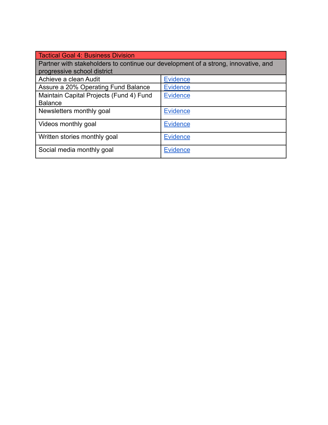| Tactical Goal 4: Business Division                                                 |                 |  |
|------------------------------------------------------------------------------------|-----------------|--|
| Partner with stakeholders to continue our development of a strong, innovative, and |                 |  |
| progressive school district                                                        |                 |  |
| Achieve a clean Audit                                                              | <b>Evidence</b> |  |
| Assure a 20% Operating Fund Balance                                                | <b>Evidence</b> |  |
| Maintain Capital Projects (Fund 4) Fund                                            | <b>Evidence</b> |  |
| <b>Balance</b>                                                                     |                 |  |
| Newsletters monthly goal                                                           | <b>Evidence</b> |  |
| Videos monthly goal                                                                | <b>Evidence</b> |  |
| Written stories monthly goal                                                       | <b>Evidence</b> |  |
| Social media monthly goal                                                          | <b>Evidence</b> |  |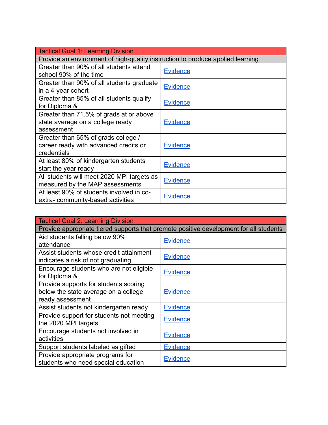| Tactical Goal 1: Learning Division                                             |                 |
|--------------------------------------------------------------------------------|-----------------|
| Provide an environment of high-quality instruction to produce applied learning |                 |
| Greater than 90% of all students attend                                        | <b>Evidence</b> |
| school 90% of the time                                                         |                 |
| Greater than 90% of all students graduate                                      | <b>Evidence</b> |
| in a 4-year cohort                                                             |                 |
| Greater than 85% of all students qualify                                       |                 |
| for Diploma &                                                                  | <b>Evidence</b> |
| Greater than 71.5% of grads at or above                                        |                 |
| state average on a college ready                                               | <u>Evidence</u> |
| assessment                                                                     |                 |
| Greater than 65% of grads college /                                            |                 |
| career ready with advanced credits or                                          | <b>Evidence</b> |
| credentials                                                                    |                 |
| At least 80% of kindergarten students                                          |                 |
| start the year ready                                                           | <b>Evidence</b> |
| All students will meet 2020 MPI targets as                                     | <b>Evidence</b> |
| measured by the MAP assessments                                                |                 |
| At least 90% of students involved in co-                                       |                 |
| extra-community-based activities                                               | <b>Evidence</b> |

| <b>Tactical Goal 2: Learning Division</b>                                              |                 |  |
|----------------------------------------------------------------------------------------|-----------------|--|
| Provide appropriate tiered supports that promote positive development for all students |                 |  |
| Aid students falling below 90%                                                         | <b>Evidence</b> |  |
| attendance                                                                             |                 |  |
| Assist students whose credit attainment                                                | <b>Evidence</b> |  |
| indicates a risk of not graduating                                                     |                 |  |
| Encourage students who are not eligible                                                | <b>Evidence</b> |  |
| for Diploma &                                                                          |                 |  |
| Provide supports for students scoring                                                  |                 |  |
| below the state average on a college                                                   | <b>Evidence</b> |  |
| ready assessment                                                                       |                 |  |
| Assist students not kindergarten ready                                                 | <b>Evidence</b> |  |
| Provide support for students not meeting                                               | <u>Evidence</u> |  |
| the 2020 MPI targets                                                                   |                 |  |
| Encourage students not involved in                                                     | <b>Evidence</b> |  |
| activities                                                                             |                 |  |
| Support students labeled as gifted                                                     | <b>Evidence</b> |  |
| Provide appropriate programs for                                                       |                 |  |
| students who need special education                                                    | <u>Evidence</u> |  |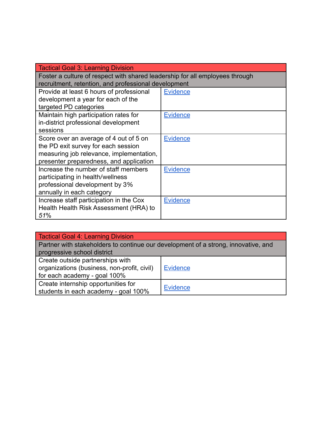| Tactical Goal 3: Learning Division                                           |                 |
|------------------------------------------------------------------------------|-----------------|
| Foster a culture of respect with shared leadership for all employees through |                 |
| recruitment, retention, and professional development                         |                 |
| Provide at least 6 hours of professional                                     | <b>Evidence</b> |
| development a year for each of the                                           |                 |
| targeted PD categories                                                       |                 |
| Maintain high participation rates for                                        | <b>Evidence</b> |
| in-district professional development                                         |                 |
| sessions                                                                     |                 |
| Score over an average of 4 out of 5 on                                       | <b>Evidence</b> |
| the PD exit survey for each session                                          |                 |
| measuring job relevance, implementation,                                     |                 |
| presenter preparedness, and application                                      |                 |
| Increase the number of staff members                                         | <b>Evidence</b> |
| participating in health/wellness                                             |                 |
| professional development by 3%                                               |                 |
| annually in each category                                                    |                 |
| Increase staff participation in the Cox                                      | <b>Evidence</b> |
| Health Health Risk Assessment (HRA) to                                       |                 |
| 51%                                                                          |                 |

| Tactical Goal 4: Learning Division                                                 |                 |
|------------------------------------------------------------------------------------|-----------------|
| Partner with stakeholders to continue our development of a strong, innovative, and |                 |
| progressive school district                                                        |                 |
| Create outside partnerships with                                                   |                 |
| organizations (business, non-profit, civil)                                        | <b>Evidence</b> |
| for each academy - goal 100%                                                       |                 |
| Create internship opportunities for                                                |                 |
| students in each academy - goal 100%                                               | <b>Evidence</b> |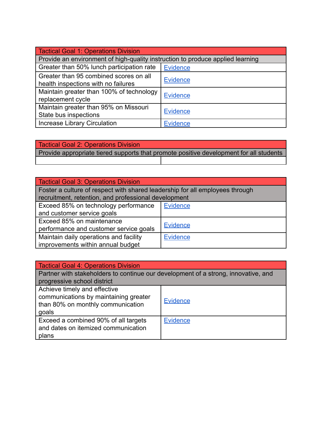| Tactical Goal 1: Operations Division                                           |                 |
|--------------------------------------------------------------------------------|-----------------|
| Provide an environment of high-quality instruction to produce applied learning |                 |
| Greater than 50% lunch participation rate                                      | <b>Evidence</b> |
| Greater than 95 combined scores on all<br>health inspections with no failures  | <b>Evidence</b> |
| Maintain greater than 100% of technology<br>replacement cycle                  | <b>Evidence</b> |
| Maintain greater than 95% on Missouri<br>State bus inspections                 | <b>Evidence</b> |
| <b>Increase Library Circulation</b>                                            | Evidence        |

| <b>Tactical Goal 2: Operations Division</b>                                            |  |
|----------------------------------------------------------------------------------------|--|
| Provide appropriate tiered supports that promote positive development for all students |  |
|                                                                                        |  |

| <b>Tactical Goal 3: Operations Division</b>                                  |                 |
|------------------------------------------------------------------------------|-----------------|
| Foster a culture of respect with shared leadership for all employees through |                 |
| recruitment, retention, and professional development                         |                 |
| Exceed 85% on technology performance                                         | <b>Evidence</b> |
| and customer service goals                                                   |                 |
| Exceed 85% on maintenance                                                    |                 |
| performance and customer service goals                                       | <b>Evidence</b> |
| Maintain daily operations and facility                                       | <b>Evidence</b> |
| improvements within annual budget                                            |                 |

| Tactical Goal 4: Operations Division                                                                                |                 |  |
|---------------------------------------------------------------------------------------------------------------------|-----------------|--|
| Partner with stakeholders to continue our development of a strong, innovative, and                                  |                 |  |
| progressive school district                                                                                         |                 |  |
| Achieve timely and effective<br>communications by maintaining greater<br>than 80% on monthly communication<br>goals | Evidence        |  |
| Exceed a combined 90% of all targets<br>and dates on itemized communication<br>plans                                | <b>Evidence</b> |  |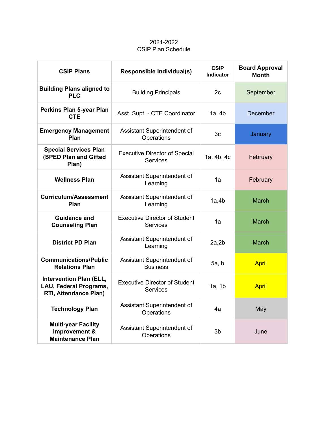## 2021-2022 CSIP Plan Schedule

| <b>CSIP Plans</b>                                                                        | Responsible Individual(s)                               | <b>CSIP</b><br><b>Indicator</b> | <b>Board Approval</b><br><b>Month</b> |
|------------------------------------------------------------------------------------------|---------------------------------------------------------|---------------------------------|---------------------------------------|
| <b>Building Plans aligned to</b><br><b>PLC</b>                                           | <b>Building Principals</b>                              | 2c                              | September                             |
| Perkins Plan 5-year Plan<br><b>CTE</b>                                                   | Asst. Supt. - CTE Coordinator                           | 1a, 4b                          | December                              |
| <b>Emergency Management</b><br>Plan                                                      | Assistant Superintendent of<br>Operations               | 3c                              | January                               |
| <b>Special Services Plan</b><br>(SPED Plan and Gifted<br>Plan)                           | <b>Executive Director of Special</b><br><b>Services</b> | 1a, 4b, 4c                      | February                              |
| <b>Wellness Plan</b>                                                                     | Assistant Superintendent of<br>Learning                 | 1a                              | February                              |
| <b>Curriculum/Assessment</b><br>Plan                                                     | Assistant Superintendent of<br>Learning                 | 1a,4b                           | <b>March</b>                          |
| <b>Guidance and</b><br><b>Counseling Plan</b>                                            | <b>Executive Director of Student</b><br><b>Services</b> | 1a                              | <b>March</b>                          |
| <b>District PD Plan</b>                                                                  | Assistant Superintendent of<br>Learning                 | 2a, 2b                          | <b>March</b>                          |
| <b>Communications/Public</b><br><b>Relations Plan</b>                                    | Assistant Superintendent of<br><b>Business</b>          | 5a, b                           | <b>April</b>                          |
| <b>Intervention Plan (ELL,</b><br>LAU, Federal Programs,<br><b>RTI, Attendance Plan)</b> | <b>Executive Director of Student</b><br><b>Services</b> | 1a, 1b                          | <b>April</b>                          |
| <b>Technology Plan</b>                                                                   | Assistant Superintendent of<br>Operations               | 4a                              | May                                   |
| <b>Multi-year Facility</b><br>Improvement &<br><b>Maintenance Plan</b>                   | Assistant Superintendent of<br>Operations               | 3b                              | June                                  |